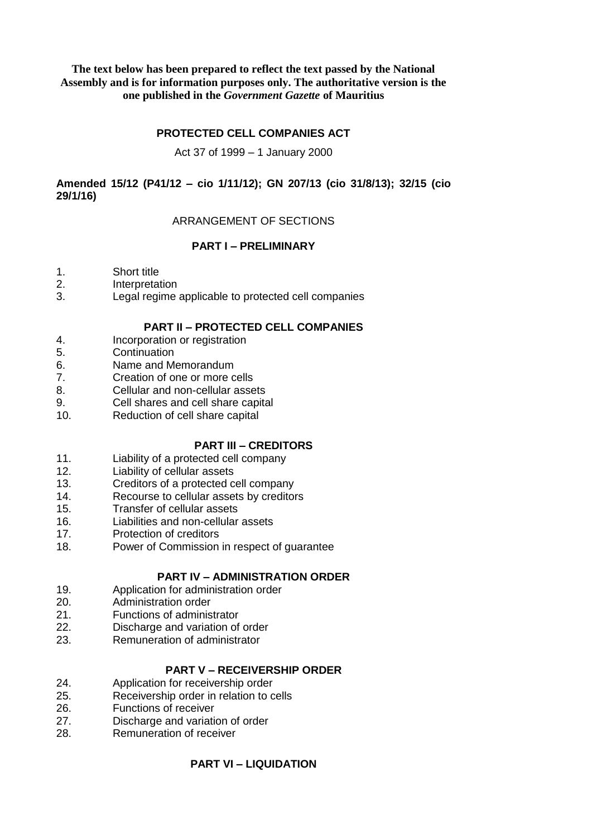### **The text below has been prepared to reflect the text passed by the National Assembly and is for information purposes only. The authoritative version is the one published in the** *Government Gazette* **of Mauritius**

# **PROTECTED CELL COMPANIES ACT**

#### Act 37 of 1999 – 1 January 2000

# **Amended 15/12 (P41/12 – cio 1/11/12); GN 207/13 (cio 31/8/13); 32/15 (cio 29/1/16)**

# ARRANGEMENT OF SECTIONS

# **PART I – PRELIMINARY**

- 1. Short title
- 2. Interpretation
- 3. Legal regime applicable to protected cell companies

# **PART II – PROTECTED CELL COMPANIES**

- 4. Incorporation or registration
- 5. Continuation
- 6. Name and Memorandum
- 7. Creation of one or more cells
- 8. Cellular and non-cellular assets
- 9. Cell shares and cell share capital
- 10. Reduction of cell share capital

# **PART III – CREDITORS**

- 11. Liability of a protected cell company
- 12. Liability of cellular assets
- 13. Creditors of a protected cell company<br>14. Recourse to cellular assets by creditor
- Recourse to cellular assets by creditors
- 15. Transfer of cellular assets
- 16. Liabilities and non-cellular assets
- 17. Protection of creditors
- 18. Power of Commission in respect of guarantee

# **PART IV – ADMINISTRATION ORDER**

- 19. Application for administration order
- 20. Administration order
- 21. Functions of administrator
- 22. Discharge and variation of order
- 23. Remuneration of administrator

# **PART V – RECEIVERSHIP ORDER**

- 24. Application for receivership order
- 25. Receivership order in relation to cells
- 26. Functions of receiver
- 27. Discharge and variation of order
- 28. Remuneration of receiver

# **PART VI – LIQUIDATION**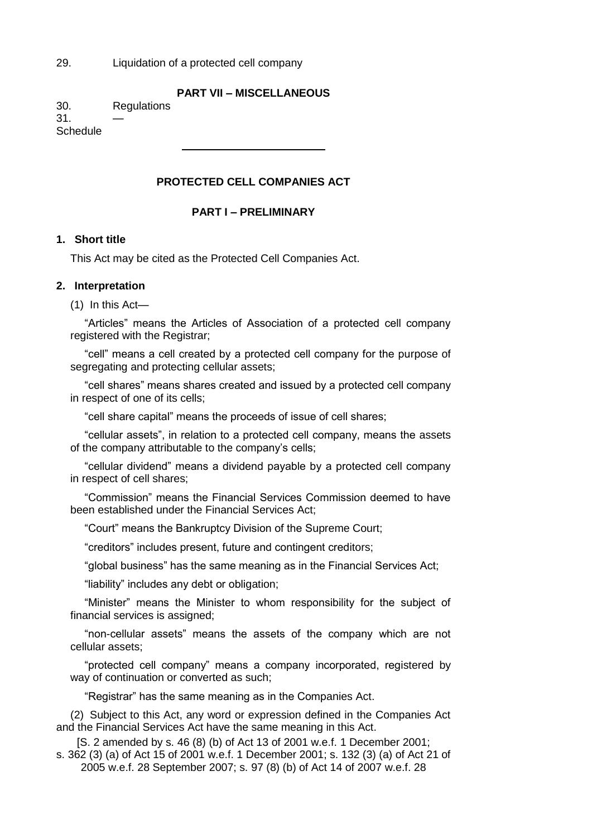29. Liquidation of a protected cell company

# **PART VII – MISCELLANEOUS**

30. Regulations

 $31.$ **Schedule** 

# **PROTECTED CELL COMPANIES ACT**

# **PART I – PRELIMINARY**

# **1. Short title**

This Act may be cited as the Protected Cell Companies Act.

### **2. Interpretation**

(1) In this Act—

"Articles" means the Articles of Association of a protected cell company registered with the Registrar;

"cell" means a cell created by a protected cell company for the purpose of segregating and protecting cellular assets;

"cell shares" means shares created and issued by a protected cell company in respect of one of its cells;

"cell share capital" means the proceeds of issue of cell shares;

"cellular assets", in relation to a protected cell company, means the assets of the company attributable to the company's cells;

"cellular dividend" means a dividend payable by a protected cell company in respect of cell shares;

"Commission" means the Financial Services Commission deemed to have been established under the Financial Services Act;

"Court" means the Bankruptcy Division of the Supreme Court;

"creditors" includes present, future and contingent creditors;

"global business" has the same meaning as in the Financial Services Act;

"liability" includes any debt or obligation;

"Minister" means the Minister to whom responsibility for the subject of financial services is assigned;

"non-cellular assets" means the assets of the company which are not cellular assets;

"protected cell company" means a company incorporated, registered by way of continuation or converted as such;

"Registrar" has the same meaning as in the Companies Act.

(2) Subject to this Act, any word or expression defined in the Companies Act and the Financial Services Act have the same meaning in this Act.

[S. 2 amended by s. 46 (8) (b) of Act 13 of 2001 w.e.f. 1 December 2001; s. 362 (3) (a) of Act 15 of 2001 w.e.f. 1 December 2001; s. 132 (3) (a) of Act 21 of 2005 w.e.f. 28 September 2007; s. 97 (8) (b) of Act 14 of 2007 w.e.f. 28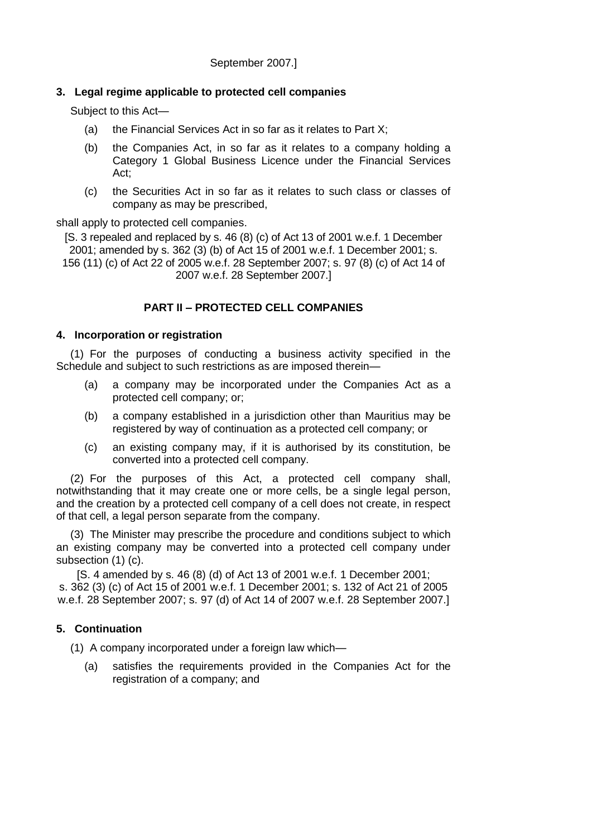# **3. Legal regime applicable to protected cell companies**

Subject to this Act—

- (a) the Financial Services Act in so far as it relates to Part  $X$ ;
- (b) the Companies Act, in so far as it relates to a company holding a Category 1 Global Business Licence under the Financial Services Act;
- (c) the Securities Act in so far as it relates to such class or classes of company as may be prescribed,

shall apply to protected cell companies.

[S. 3 repealed and replaced by s. 46 (8) (c) of Act 13 of 2001 w.e.f. 1 December 2001; amended by s. 362 (3) (b) of Act 15 of 2001 w.e.f. 1 December 2001; s. 156 (11) (c) of Act 22 of 2005 w.e.f. 28 September 2007; s. 97 (8) (c) of Act 14 of 2007 w.e.f. 28 September 2007.]

# **PART II – PROTECTED CELL COMPANIES**

# **4. Incorporation or registration**

(1) For the purposes of conducting a business activity specified in the Schedule and subject to such restrictions as are imposed therein—

- (a) a company may be incorporated under the Companies Act as a protected cell company; or;
- (b) a company established in a jurisdiction other than Mauritius may be registered by way of continuation as a protected cell company; or
- (c) an existing company may, if it is authorised by its constitution, be converted into a protected cell company.

(2) For the purposes of this Act, a protected cell company shall, notwithstanding that it may create one or more cells, be a single legal person, and the creation by a protected cell company of a cell does not create, in respect of that cell, a legal person separate from the company.

(3) The Minister may prescribe the procedure and conditions subject to which an existing company may be converted into a protected cell company under subsection (1) (c).

[S. 4 amended by s. 46 (8) (d) of Act 13 of 2001 w.e.f. 1 December 2001; s. 362 (3) (c) of Act 15 of 2001 w.e.f. 1 December 2001; s. 132 of Act 21 of 2005 w.e.f. 28 September 2007; s. 97 (d) of Act 14 of 2007 w.e.f. 28 September 2007.]

# **5. Continuation**

(1) A company incorporated under a foreign law which—

(a) satisfies the requirements provided in the Companies Act for the registration of a company; and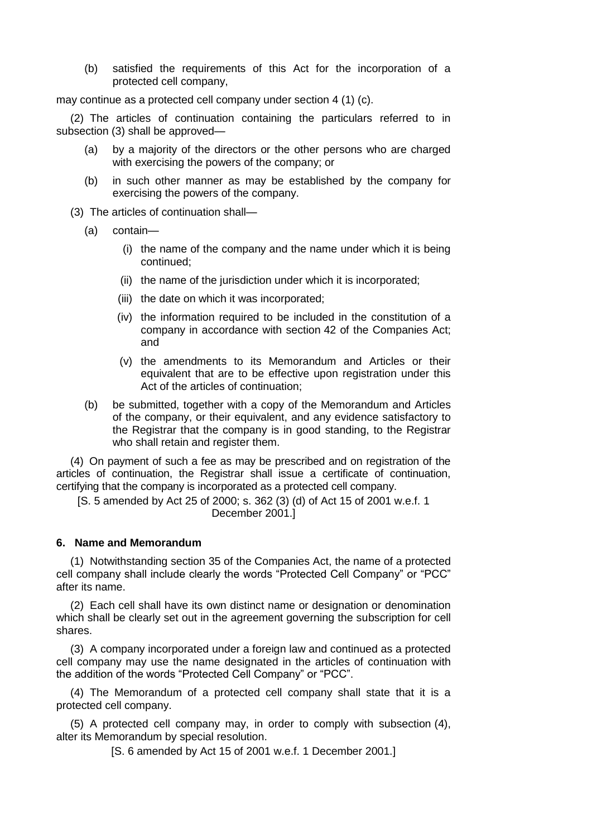(b) satisfied the requirements of this Act for the incorporation of a protected cell company,

may continue as a protected cell company under section 4 (1) (c).

(2) The articles of continuation containing the particulars referred to in subsection (3) shall be approved—

- (a) by a majority of the directors or the other persons who are charged with exercising the powers of the company; or
- (b) in such other manner as may be established by the company for exercising the powers of the company.
- (3) The articles of continuation shall—
	- (a) contain—
		- (i) the name of the company and the name under which it is being continued;
		- (ii) the name of the jurisdiction under which it is incorporated;
		- (iii) the date on which it was incorporated;
		- (iv) the information required to be included in the constitution of a company in accordance with section 42 of the Companies Act; and
		- (v) the amendments to its Memorandum and Articles or their equivalent that are to be effective upon registration under this Act of the articles of continuation;
	- (b) be submitted, together with a copy of the Memorandum and Articles of the company, or their equivalent, and any evidence satisfactory to the Registrar that the company is in good standing, to the Registrar who shall retain and register them.

(4) On payment of such a fee as may be prescribed and on registration of the articles of continuation, the Registrar shall issue a certificate of continuation, certifying that the company is incorporated as a protected cell company.

[S. 5 amended by Act 25 of 2000; s. 362 (3) (d) of Act 15 of 2001 w.e.f. 1 December 2001.]

#### **6. Name and Memorandum**

(1) Notwithstanding section 35 of the Companies Act, the name of a protected cell company shall include clearly the words "Protected Cell Company" or "PCC" after its name.

(2) Each cell shall have its own distinct name or designation or denomination which shall be clearly set out in the agreement governing the subscription for cell shares.

(3) A company incorporated under a foreign law and continued as a protected cell company may use the name designated in the articles of continuation with the addition of the words "Protected Cell Company" or "PCC".

(4) The Memorandum of a protected cell company shall state that it is a protected cell company.

(5) A protected cell company may, in order to comply with subsection (4), alter its Memorandum by special resolution.

[S. 6 amended by Act 15 of 2001 w.e.f. 1 December 2001.]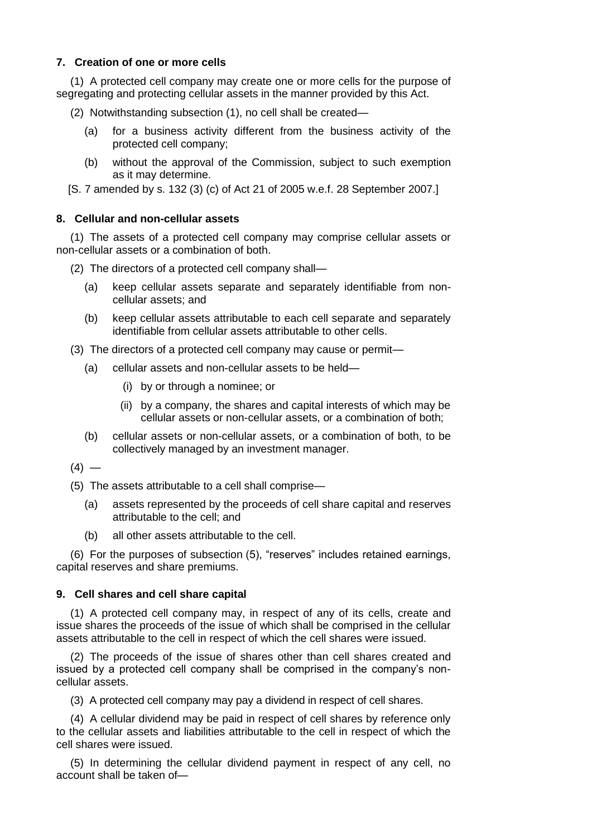## **7. Creation of one or more cells**

(1) A protected cell company may create one or more cells for the purpose of segregating and protecting cellular assets in the manner provided by this Act.

(2) Notwithstanding subsection (1), no cell shall be created—

- (a) for a business activity different from the business activity of the protected cell company;
- (b) without the approval of the Commission, subject to such exemption as it may determine.

[S. 7 amended by s. 132 (3) (c) of Act 21 of 2005 w.e.f. 28 September 2007.]

### **8. Cellular and non-cellular assets**

(1) The assets of a protected cell company may comprise cellular assets or non-cellular assets or a combination of both.

(2) The directors of a protected cell company shall—

- (a) keep cellular assets separate and separately identifiable from noncellular assets; and
- (b) keep cellular assets attributable to each cell separate and separately identifiable from cellular assets attributable to other cells.

(3) The directors of a protected cell company may cause or permit—

- (a) cellular assets and non-cellular assets to be held—
	- (i) by or through a nominee; or
	- (ii) by a company, the shares and capital interests of which may be cellular assets or non-cellular assets, or a combination of both;
- (b) cellular assets or non-cellular assets, or a combination of both, to be collectively managed by an investment manager.

 $(4) -$ 

(5) The assets attributable to a cell shall comprise—

- (a) assets represented by the proceeds of cell share capital and reserves attributable to the cell; and
- (b) all other assets attributable to the cell.

(6) For the purposes of subsection (5), "reserves" includes retained earnings, capital reserves and share premiums.

# **9. Cell shares and cell share capital**

(1) A protected cell company may, in respect of any of its cells, create and issue shares the proceeds of the issue of which shall be comprised in the cellular assets attributable to the cell in respect of which the cell shares were issued.

(2) The proceeds of the issue of shares other than cell shares created and issued by a protected cell company shall be comprised in the company's noncellular assets.

(3) A protected cell company may pay a dividend in respect of cell shares.

(4) A cellular dividend may be paid in respect of cell shares by reference only to the cellular assets and liabilities attributable to the cell in respect of which the cell shares were issued.

(5) In determining the cellular dividend payment in respect of any cell, no account shall be taken of—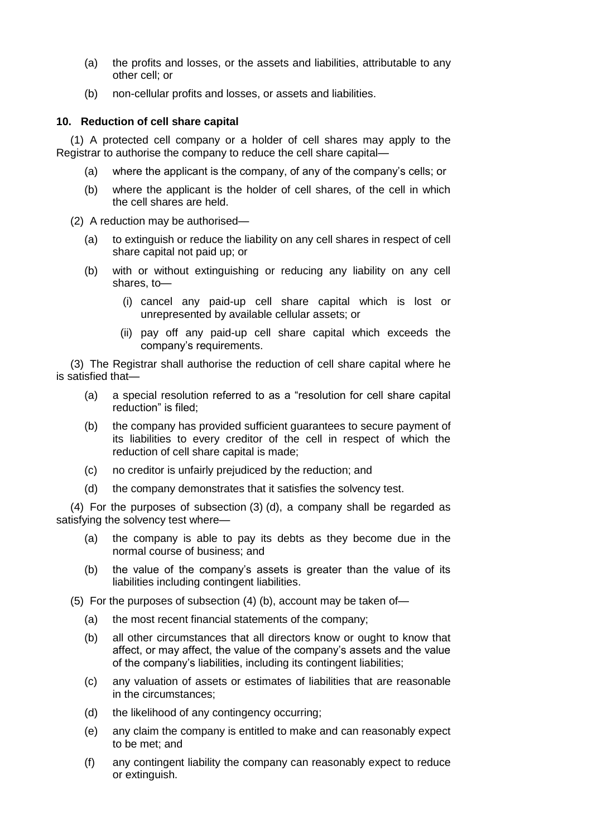- (a) the profits and losses, or the assets and liabilities, attributable to any other cell; or
- (b) non-cellular profits and losses, or assets and liabilities.

### **10. Reduction of cell share capital**

(1) A protected cell company or a holder of cell shares may apply to the Registrar to authorise the company to reduce the cell share capital—

- (a) where the applicant is the company, of any of the company's cells; or
- (b) where the applicant is the holder of cell shares, of the cell in which the cell shares are held.
- (2) A reduction may be authorised—
	- (a) to extinguish or reduce the liability on any cell shares in respect of cell share capital not paid up; or
	- (b) with or without extinguishing or reducing any liability on any cell shares, to—
		- (i) cancel any paid-up cell share capital which is lost or unrepresented by available cellular assets; or
		- (ii) pay off any paid-up cell share capital which exceeds the company's requirements.

(3) The Registrar shall authorise the reduction of cell share capital where he is satisfied that—

- (a) a special resolution referred to as a "resolution for cell share capital reduction" is filed;
- (b) the company has provided sufficient guarantees to secure payment of its liabilities to every creditor of the cell in respect of which the reduction of cell share capital is made;
- (c) no creditor is unfairly prejudiced by the reduction; and
- (d) the company demonstrates that it satisfies the solvency test.

(4) For the purposes of subsection (3) (d), a company shall be regarded as satisfying the solvency test where—

- (a) the company is able to pay its debts as they become due in the normal course of business; and
- (b) the value of the company's assets is greater than the value of its liabilities including contingent liabilities.

(5) For the purposes of subsection (4) (b), account may be taken of—

- (a) the most recent financial statements of the company;
- (b) all other circumstances that all directors know or ought to know that affect, or may affect, the value of the company's assets and the value of the company's liabilities, including its contingent liabilities;
- (c) any valuation of assets or estimates of liabilities that are reasonable in the circumstances;
- (d) the likelihood of any contingency occurring;
- (e) any claim the company is entitled to make and can reasonably expect to be met; and
- (f) any contingent liability the company can reasonably expect to reduce or extinguish.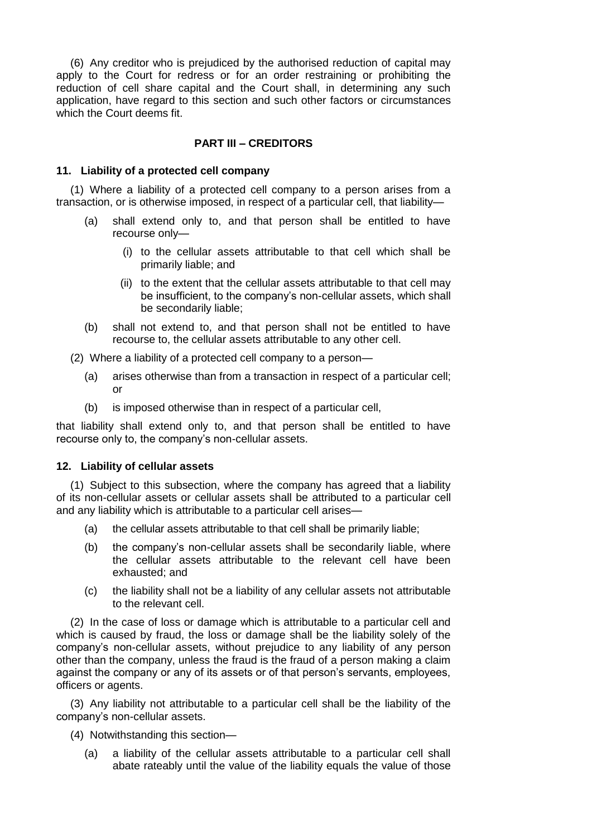(6) Any creditor who is prejudiced by the authorised reduction of capital may apply to the Court for redress or for an order restraining or prohibiting the reduction of cell share capital and the Court shall, in determining any such application, have regard to this section and such other factors or circumstances which the Court deems fit.

# **PART III – CREDITORS**

### **11. Liability of a protected cell company**

(1) Where a liability of a protected cell company to a person arises from a transaction, or is otherwise imposed, in respect of a particular cell, that liability—

- (a) shall extend only to, and that person shall be entitled to have recourse only—
	- (i) to the cellular assets attributable to that cell which shall be primarily liable; and
	- (ii) to the extent that the cellular assets attributable to that cell may be insufficient, to the company's non-cellular assets, which shall be secondarily liable;
- (b) shall not extend to, and that person shall not be entitled to have recourse to, the cellular assets attributable to any other cell.
- (2) Where a liability of a protected cell company to a person—
	- (a) arises otherwise than from a transaction in respect of a particular cell; or
	- (b) is imposed otherwise than in respect of a particular cell,

that liability shall extend only to, and that person shall be entitled to have recourse only to, the company's non-cellular assets.

#### **12. Liability of cellular assets**

(1) Subject to this subsection, where the company has agreed that a liability of its non-cellular assets or cellular assets shall be attributed to a particular cell and any liability which is attributable to a particular cell arises—

- (a) the cellular assets attributable to that cell shall be primarily liable;
- (b) the company's non-cellular assets shall be secondarily liable, where the cellular assets attributable to the relevant cell have been exhausted; and
- (c) the liability shall not be a liability of any cellular assets not attributable to the relevant cell.

(2) In the case of loss or damage which is attributable to a particular cell and which is caused by fraud, the loss or damage shall be the liability solely of the company's non-cellular assets, without prejudice to any liability of any person other than the company, unless the fraud is the fraud of a person making a claim against the company or any of its assets or of that person's servants, employees, officers or agents.

(3) Any liability not attributable to a particular cell shall be the liability of the company's non-cellular assets.

- (4) Notwithstanding this section—
	- (a) a liability of the cellular assets attributable to a particular cell shall abate rateably until the value of the liability equals the value of those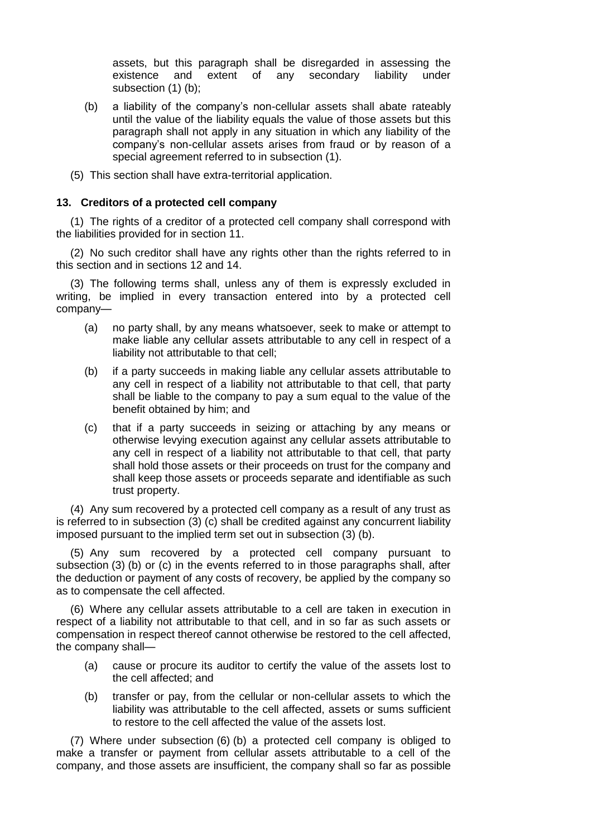assets, but this paragraph shall be disregarded in assessing the existence and extent of any secondary liability under subsection (1) (b);

- (b) a liability of the company's non-cellular assets shall abate rateably until the value of the liability equals the value of those assets but this paragraph shall not apply in any situation in which any liability of the company's non-cellular assets arises from fraud or by reason of a special agreement referred to in subsection (1).
- (5) This section shall have extra-territorial application.

#### **13. Creditors of a protected cell company**

(1) The rights of a creditor of a protected cell company shall correspond with the liabilities provided for in section 11.

(2) No such creditor shall have any rights other than the rights referred to in this section and in sections 12 and 14.

(3) The following terms shall, unless any of them is expressly excluded in writing, be implied in every transaction entered into by a protected cell company—

- (a) no party shall, by any means whatsoever, seek to make or attempt to make liable any cellular assets attributable to any cell in respect of a liability not attributable to that cell;
- (b) if a party succeeds in making liable any cellular assets attributable to any cell in respect of a liability not attributable to that cell, that party shall be liable to the company to pay a sum equal to the value of the benefit obtained by him; and
- (c) that if a party succeeds in seizing or attaching by any means or otherwise levying execution against any cellular assets attributable to any cell in respect of a liability not attributable to that cell, that party shall hold those assets or their proceeds on trust for the company and shall keep those assets or proceeds separate and identifiable as such trust property.

(4) Any sum recovered by a protected cell company as a result of any trust as is referred to in subsection (3) (c) shall be credited against any concurrent liability imposed pursuant to the implied term set out in subsection (3) (b).

(5) Any sum recovered by a protected cell company pursuant to subsection (3) (b) or (c) in the events referred to in those paragraphs shall, after the deduction or payment of any costs of recovery, be applied by the company so as to compensate the cell affected.

(6) Where any cellular assets attributable to a cell are taken in execution in respect of a liability not attributable to that cell, and in so far as such assets or compensation in respect thereof cannot otherwise be restored to the cell affected, the company shall—

- (a) cause or procure its auditor to certify the value of the assets lost to the cell affected; and
- (b) transfer or pay, from the cellular or non-cellular assets to which the liability was attributable to the cell affected, assets or sums sufficient to restore to the cell affected the value of the assets lost.

(7) Where under subsection (6) (b) a protected cell company is obliged to make a transfer or payment from cellular assets attributable to a cell of the company, and those assets are insufficient, the company shall so far as possible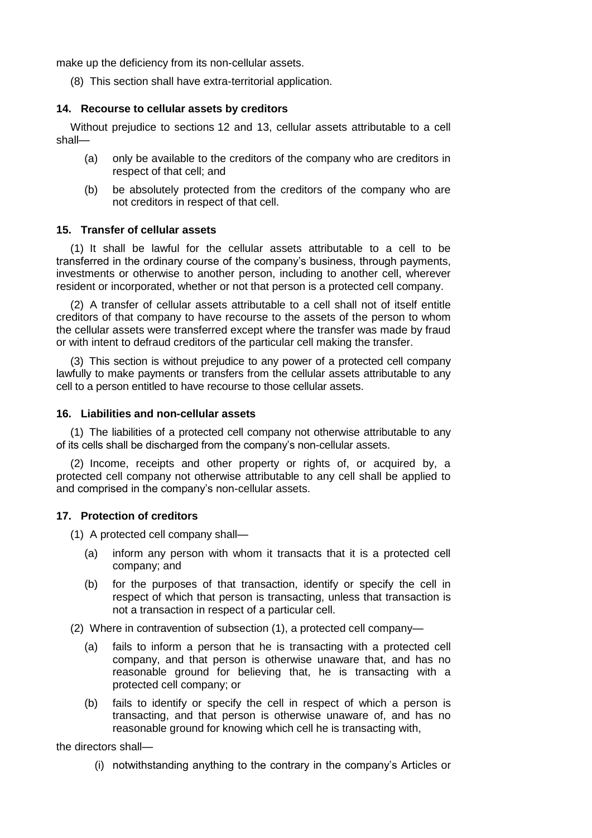make up the deficiency from its non-cellular assets.

(8) This section shall have extra-territorial application.

### **14. Recourse to cellular assets by creditors**

Without prejudice to sections 12 and 13, cellular assets attributable to a cell shall—

- (a) only be available to the creditors of the company who are creditors in respect of that cell; and
- (b) be absolutely protected from the creditors of the company who are not creditors in respect of that cell.

### **15. Transfer of cellular assets**

(1) It shall be lawful for the cellular assets attributable to a cell to be transferred in the ordinary course of the company's business, through payments, investments or otherwise to another person, including to another cell, wherever resident or incorporated, whether or not that person is a protected cell company.

(2) A transfer of cellular assets attributable to a cell shall not of itself entitle creditors of that company to have recourse to the assets of the person to whom the cellular assets were transferred except where the transfer was made by fraud or with intent to defraud creditors of the particular cell making the transfer.

(3) This section is without prejudice to any power of a protected cell company lawfully to make payments or transfers from the cellular assets attributable to any cell to a person entitled to have recourse to those cellular assets.

### **16. Liabilities and non-cellular assets**

(1) The liabilities of a protected cell company not otherwise attributable to any of its cells shall be discharged from the company's non-cellular assets.

(2) Income, receipts and other property or rights of, or acquired by, a protected cell company not otherwise attributable to any cell shall be applied to and comprised in the company's non-cellular assets.

# **17. Protection of creditors**

(1) A protected cell company shall—

- (a) inform any person with whom it transacts that it is a protected cell company; and
- (b) for the purposes of that transaction, identify or specify the cell in respect of which that person is transacting, unless that transaction is not a transaction in respect of a particular cell.

(2) Where in contravention of subsection (1), a protected cell company—

- (a) fails to inform a person that he is transacting with a protected cell company, and that person is otherwise unaware that, and has no reasonable ground for believing that, he is transacting with a protected cell company; or
- (b) fails to identify or specify the cell in respect of which a person is transacting, and that person is otherwise unaware of, and has no reasonable ground for knowing which cell he is transacting with,

the directors shall—

(i) notwithstanding anything to the contrary in the company's Articles or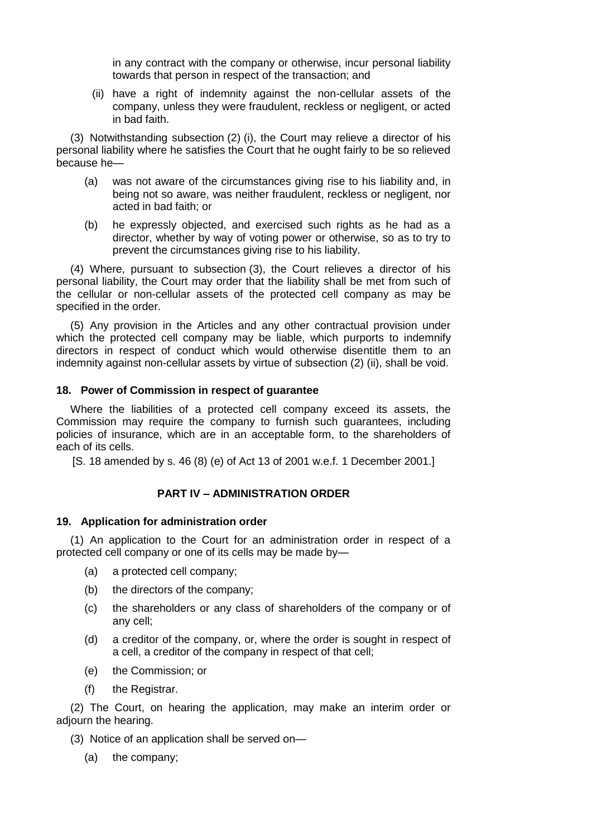in any contract with the company or otherwise, incur personal liability towards that person in respect of the transaction; and

(ii) have a right of indemnity against the non-cellular assets of the company, unless they were fraudulent, reckless or negligent, or acted in bad faith.

(3) Notwithstanding subsection (2) (i), the Court may relieve a director of his personal liability where he satisfies the Court that he ought fairly to be so relieved because he—

- (a) was not aware of the circumstances giving rise to his liability and, in being not so aware, was neither fraudulent, reckless or negligent, nor acted in bad faith; or
- (b) he expressly objected, and exercised such rights as he had as a director, whether by way of voting power or otherwise, so as to try to prevent the circumstances giving rise to his liability.

(4) Where, pursuant to subsection (3), the Court relieves a director of his personal liability, the Court may order that the liability shall be met from such of the cellular or non-cellular assets of the protected cell company as may be specified in the order.

(5) Any provision in the Articles and any other contractual provision under which the protected cell company may be liable, which purports to indemnify directors in respect of conduct which would otherwise disentitle them to an indemnity against non-cellular assets by virtue of subsection (2) (ii), shall be void.

#### **18. Power of Commission in respect of guarantee**

Where the liabilities of a protected cell company exceed its assets, the Commission may require the company to furnish such guarantees, including policies of insurance, which are in an acceptable form, to the shareholders of each of its cells.

[S. 18 amended by s. 46 (8) (e) of Act 13 of 2001 w.e.f. 1 December 2001.]

#### **PART IV – ADMINISTRATION ORDER**

#### **19. Application for administration order**

(1) An application to the Court for an administration order in respect of a protected cell company or one of its cells may be made by—

- (a) a protected cell company;
- (b) the directors of the company;
- (c) the shareholders or any class of shareholders of the company or of any cell;
- (d) a creditor of the company, or, where the order is sought in respect of a cell, a creditor of the company in respect of that cell;
- (e) the Commission; or
- (f) the Registrar.

(2) The Court, on hearing the application, may make an interim order or adjourn the hearing.

- (3) Notice of an application shall be served on—
	- (a) the company;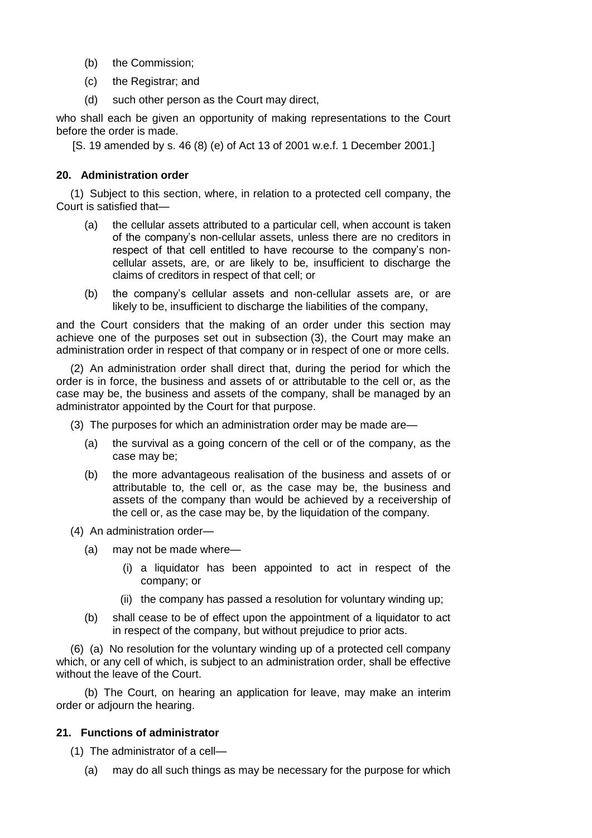- (b) the Commission;
- (c) the Registrar; and
- (d) such other person as the Court may direct,

who shall each be given an opportunity of making representations to the Court before the order is made.

[S. 19 amended by s. 46 (8) (e) of Act 13 of 2001 w.e.f. 1 December 2001.]

### **20. Administration order**

(1) Subject to this section, where, in relation to a protected cell company, the Court is satisfied that—

- (a) the cellular assets attributed to a particular cell, when account is taken of the company's non-cellular assets, unless there are no creditors in respect of that cell entitled to have recourse to the company's noncellular assets, are, or are likely to be, insufficient to discharge the claims of creditors in respect of that cell; or
- (b) the company's cellular assets and non-cellular assets are, or are likely to be, insufficient to discharge the liabilities of the company,

and the Court considers that the making of an order under this section may achieve one of the purposes set out in subsection (3), the Court may make an administration order in respect of that company or in respect of one or more cells.

(2) An administration order shall direct that, during the period for which the order is in force, the business and assets of or attributable to the cell or, as the case may be, the business and assets of the company, shall be managed by an administrator appointed by the Court for that purpose.

(3) The purposes for which an administration order may be made are—

- (a) the survival as a going concern of the cell or of the company, as the case may be;
- (b) the more advantageous realisation of the business and assets of or attributable to, the cell or, as the case may be, the business and assets of the company than would be achieved by a receivership of the cell or, as the case may be, by the liquidation of the company.

(4) An administration order—

- (a) may not be made where—
	- (i) a liquidator has been appointed to act in respect of the company; or
	- (ii) the company has passed a resolution for voluntary winding up;
- (b) shall cease to be of effect upon the appointment of a liquidator to act in respect of the company, but without prejudice to prior acts.

(6) (a) No resolution for the voluntary winding up of a protected cell company which, or any cell of which, is subject to an administration order, shall be effective without the leave of the Court.

(b) The Court, on hearing an application for leave, may make an interim order or adjourn the hearing.

#### **21. Functions of administrator**

(1) The administrator of a cell—

(a) may do all such things as may be necessary for the purpose for which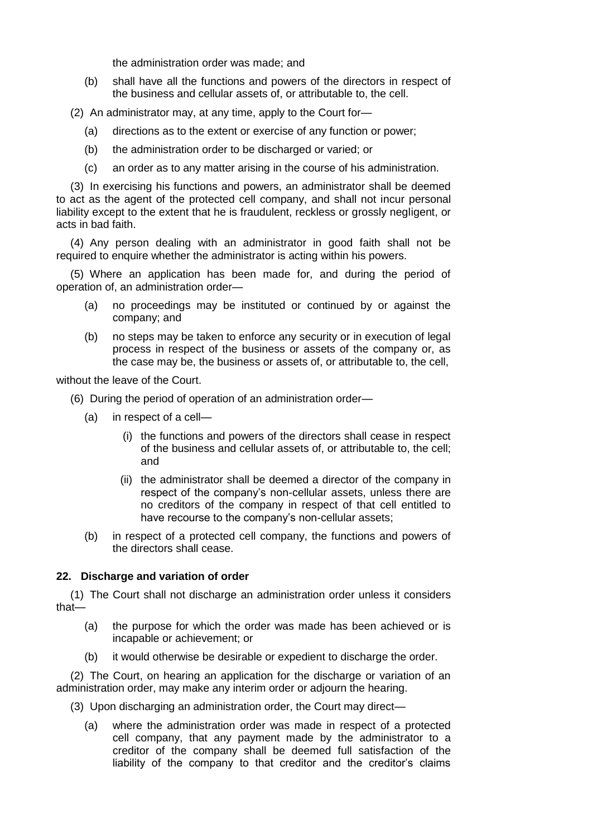the administration order was made; and

- (b) shall have all the functions and powers of the directors in respect of the business and cellular assets of, or attributable to, the cell.
- (2) An administrator may, at any time, apply to the Court for—
	- (a) directions as to the extent or exercise of any function or power;
	- (b) the administration order to be discharged or varied; or
	- (c) an order as to any matter arising in the course of his administration.

(3) In exercising his functions and powers, an administrator shall be deemed to act as the agent of the protected cell company, and shall not incur personal liability except to the extent that he is fraudulent, reckless or grossly negligent, or acts in bad faith.

(4) Any person dealing with an administrator in good faith shall not be required to enquire whether the administrator is acting within his powers.

(5) Where an application has been made for, and during the period of operation of, an administration order—

- (a) no proceedings may be instituted or continued by or against the company; and
- (b) no steps may be taken to enforce any security or in execution of legal process in respect of the business or assets of the company or, as the case may be, the business or assets of, or attributable to, the cell,

without the leave of the Court.

- (6) During the period of operation of an administration order—
	- (a) in respect of a cell—
		- (i) the functions and powers of the directors shall cease in respect of the business and cellular assets of, or attributable to, the cell; and
		- (ii) the administrator shall be deemed a director of the company in respect of the company's non-cellular assets, unless there are no creditors of the company in respect of that cell entitled to have recourse to the company's non-cellular assets;
	- (b) in respect of a protected cell company, the functions and powers of the directors shall cease.

#### **22. Discharge and variation of order**

(1) The Court shall not discharge an administration order unless it considers that—

- (a) the purpose for which the order was made has been achieved or is incapable or achievement; or
- (b) it would otherwise be desirable or expedient to discharge the order.

(2) The Court, on hearing an application for the discharge or variation of an administration order, may make any interim order or adjourn the hearing.

- (3) Upon discharging an administration order, the Court may direct—
	- (a) where the administration order was made in respect of a protected cell company, that any payment made by the administrator to a creditor of the company shall be deemed full satisfaction of the liability of the company to that creditor and the creditor's claims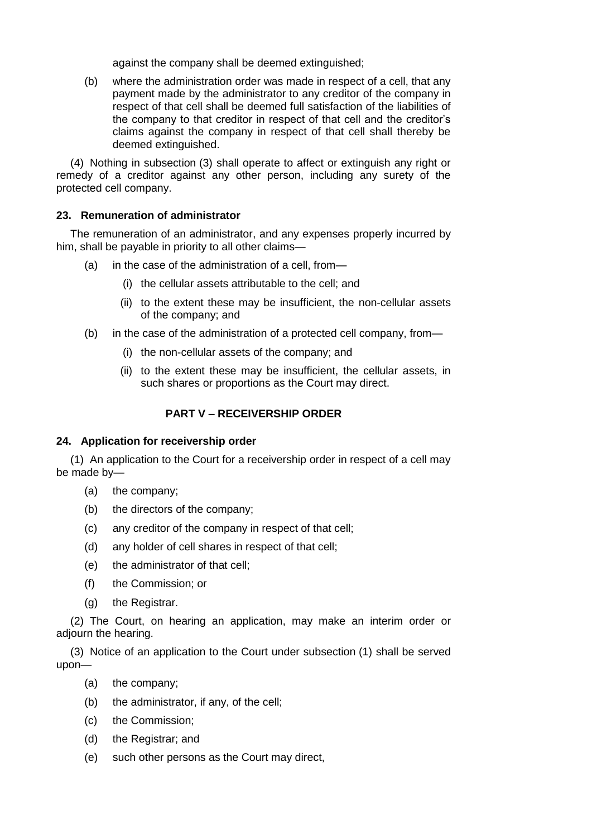against the company shall be deemed extinguished;

(b) where the administration order was made in respect of a cell, that any payment made by the administrator to any creditor of the company in respect of that cell shall be deemed full satisfaction of the liabilities of the company to that creditor in respect of that cell and the creditor's claims against the company in respect of that cell shall thereby be deemed extinguished.

(4) Nothing in subsection (3) shall operate to affect or extinguish any right or remedy of a creditor against any other person, including any surety of the protected cell company.

# **23. Remuneration of administrator**

The remuneration of an administrator, and any expenses properly incurred by him, shall be payable in priority to all other claims—

- (a) in the case of the administration of a cell, from—
	- (i) the cellular assets attributable to the cell; and
	- (ii) to the extent these may be insufficient, the non-cellular assets of the company; and
- (b) in the case of the administration of a protected cell company, from—
	- (i) the non-cellular assets of the company; and
	- (ii) to the extent these may be insufficient, the cellular assets, in such shares or proportions as the Court may direct.

# **PART V – RECEIVERSHIP ORDER**

# **24. Application for receivership order**

(1) An application to the Court for a receivership order in respect of a cell may be made by—

- (a) the company;
- (b) the directors of the company;
- (c) any creditor of the company in respect of that cell;
- (d) any holder of cell shares in respect of that cell;
- (e) the administrator of that cell;
- (f) the Commission; or
- (g) the Registrar.

(2) The Court, on hearing an application, may make an interim order or adjourn the hearing.

(3) Notice of an application to the Court under subsection (1) shall be served upon—

- (a) the company;
- (b) the administrator, if any, of the cell;
- (c) the Commission;
- (d) the Registrar; and
- (e) such other persons as the Court may direct,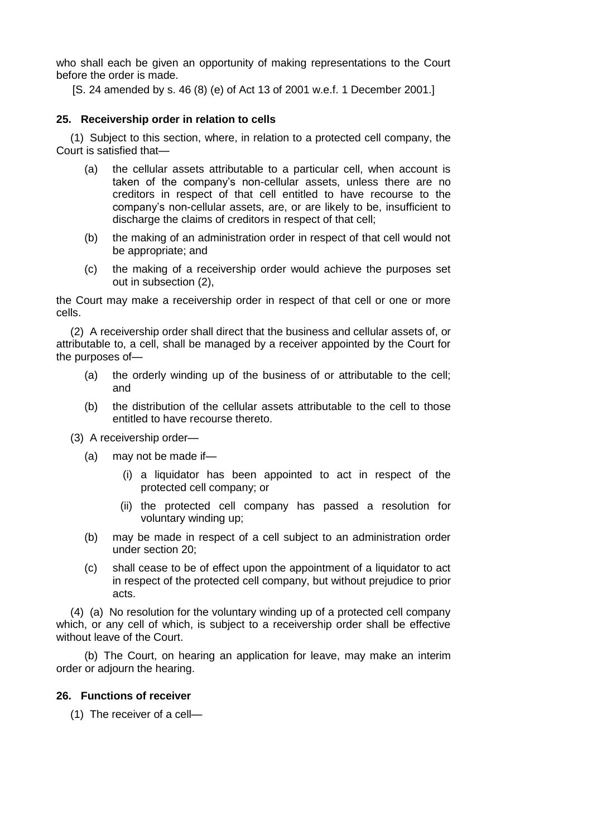who shall each be given an opportunity of making representations to the Court before the order is made.

[S. 24 amended by s. 46 (8) (e) of Act 13 of 2001 w.e.f. 1 December 2001.]

### **25. Receivership order in relation to cells**

(1) Subject to this section, where, in relation to a protected cell company, the Court is satisfied that—

- (a) the cellular assets attributable to a particular cell, when account is taken of the company's non-cellular assets, unless there are no creditors in respect of that cell entitled to have recourse to the company's non-cellular assets, are, or are likely to be, insufficient to discharge the claims of creditors in respect of that cell;
- (b) the making of an administration order in respect of that cell would not be appropriate; and
- (c) the making of a receivership order would achieve the purposes set out in subsection (2),

the Court may make a receivership order in respect of that cell or one or more cells.

(2) A receivership order shall direct that the business and cellular assets of, or attributable to, a cell, shall be managed by a receiver appointed by the Court for the purposes of—

- (a) the orderly winding up of the business of or attributable to the cell; and
- (b) the distribution of the cellular assets attributable to the cell to those entitled to have recourse thereto.
- (3) A receivership order—
	- (a) may not be made if—
		- (i) a liquidator has been appointed to act in respect of the protected cell company; or
		- (ii) the protected cell company has passed a resolution for voluntary winding up;
	- (b) may be made in respect of a cell subject to an administration order under section 20;
	- (c) shall cease to be of effect upon the appointment of a liquidator to act in respect of the protected cell company, but without prejudice to prior acts.

(4) (a) No resolution for the voluntary winding up of a protected cell company which, or any cell of which, is subject to a receivership order shall be effective without leave of the Court.

(b) The Court, on hearing an application for leave, may make an interim order or adjourn the hearing.

#### **26. Functions of receiver**

(1) The receiver of a cell—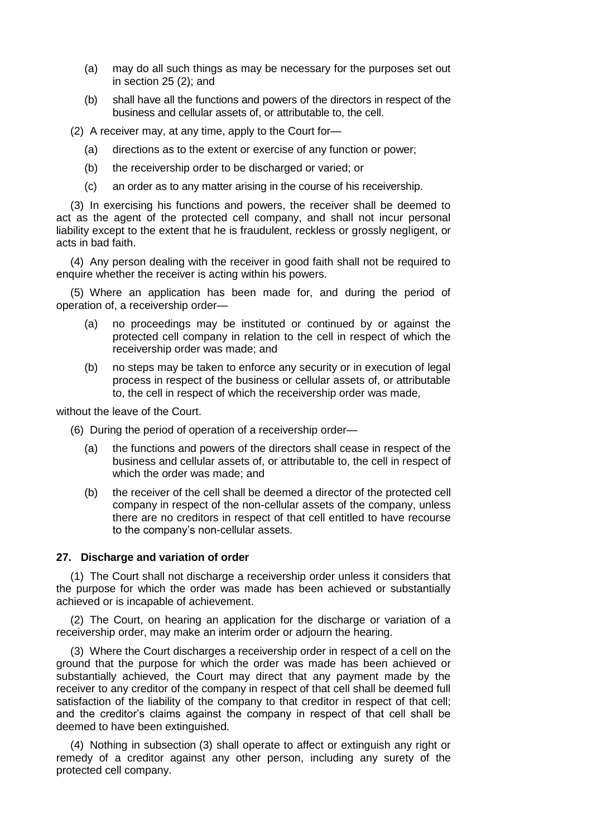- (a) may do all such things as may be necessary for the purposes set out in section 25 (2); and
- (b) shall have all the functions and powers of the directors in respect of the business and cellular assets of, or attributable to, the cell.
- (2) A receiver may, at any time, apply to the Court for—
	- (a) directions as to the extent or exercise of any function or power;
	- (b) the receivership order to be discharged or varied; or
	- (c) an order as to any matter arising in the course of his receivership.

(3) In exercising his functions and powers, the receiver shall be deemed to act as the agent of the protected cell company, and shall not incur personal liability except to the extent that he is fraudulent, reckless or grossly negligent, or acts in bad faith.

(4) Any person dealing with the receiver in good faith shall not be required to enquire whether the receiver is acting within his powers.

(5) Where an application has been made for, and during the period of operation of, a receivership order—

- (a) no proceedings may be instituted or continued by or against the protected cell company in relation to the cell in respect of which the receivership order was made; and
- (b) no steps may be taken to enforce any security or in execution of legal process in respect of the business or cellular assets of, or attributable to, the cell in respect of which the receivership order was made,

without the leave of the Court.

- (6) During the period of operation of a receivership order—
	- (a) the functions and powers of the directors shall cease in respect of the business and cellular assets of, or attributable to, the cell in respect of which the order was made; and
	- (b) the receiver of the cell shall be deemed a director of the protected cell company in respect of the non-cellular assets of the company, unless there are no creditors in respect of that cell entitled to have recourse to the company's non-cellular assets.

#### **27. Discharge and variation of order**

(1) The Court shall not discharge a receivership order unless it considers that the purpose for which the order was made has been achieved or substantially achieved or is incapable of achievement.

(2) The Court, on hearing an application for the discharge or variation of a receivership order, may make an interim order or adjourn the hearing.

(3) Where the Court discharges a receivership order in respect of a cell on the ground that the purpose for which the order was made has been achieved or substantially achieved, the Court may direct that any payment made by the receiver to any creditor of the company in respect of that cell shall be deemed full satisfaction of the liability of the company to that creditor in respect of that cell; and the creditor's claims against the company in respect of that cell shall be deemed to have been extinguished.

(4) Nothing in subsection (3) shall operate to affect or extinguish any right or remedy of a creditor against any other person, including any surety of the protected cell company.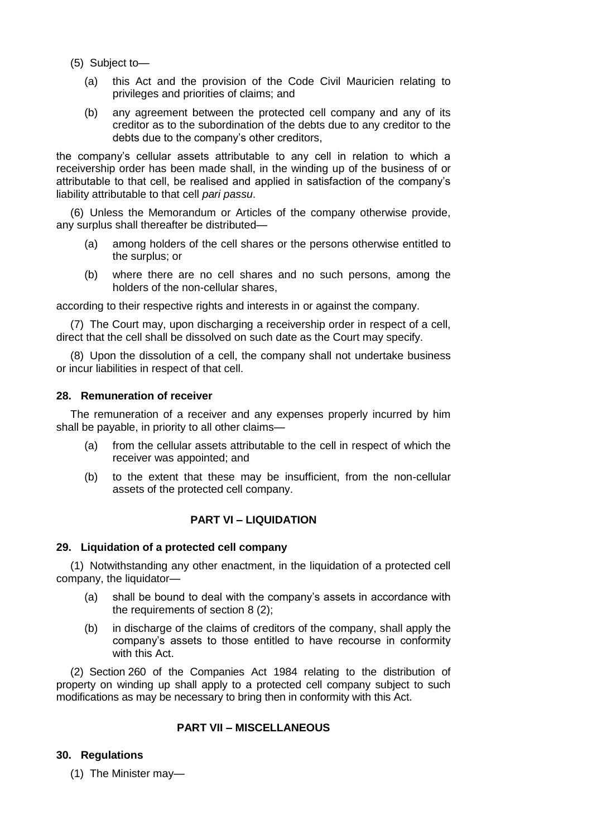- (5) Subject to—
	- (a) this Act and the provision of the Code Civil Mauricien relating to privileges and priorities of claims; and
	- (b) any agreement between the protected cell company and any of its creditor as to the subordination of the debts due to any creditor to the debts due to the company's other creditors,

the company's cellular assets attributable to any cell in relation to which a receivership order has been made shall, in the winding up of the business of or attributable to that cell, be realised and applied in satisfaction of the company's liability attributable to that cell *pari passu*.

(6) Unless the Memorandum or Articles of the company otherwise provide, any surplus shall thereafter be distributed—

- (a) among holders of the cell shares or the persons otherwise entitled to the surplus; or
- (b) where there are no cell shares and no such persons, among the holders of the non-cellular shares,

according to their respective rights and interests in or against the company.

(7) The Court may, upon discharging a receivership order in respect of a cell, direct that the cell shall be dissolved on such date as the Court may specify.

(8) Upon the dissolution of a cell, the company shall not undertake business or incur liabilities in respect of that cell.

### **28. Remuneration of receiver**

The remuneration of a receiver and any expenses properly incurred by him shall be payable, in priority to all other claims—

- (a) from the cellular assets attributable to the cell in respect of which the receiver was appointed; and
- (b) to the extent that these may be insufficient, from the non-cellular assets of the protected cell company.

# **PART VI – LIQUIDATION**

# **29. Liquidation of a protected cell company**

(1) Notwithstanding any other enactment, in the liquidation of a protected cell company, the liquidator—

- (a) shall be bound to deal with the company's assets in accordance with the requirements of section 8 (2);
- (b) in discharge of the claims of creditors of the company, shall apply the company's assets to those entitled to have recourse in conformity with this Act.

(2) Section 260 of the Companies Act 1984 relating to the distribution of property on winding up shall apply to a protected cell company subject to such modifications as may be necessary to bring then in conformity with this Act.

# **PART VII – MISCELLANEOUS**

# **30. Regulations**

(1) The Minister may—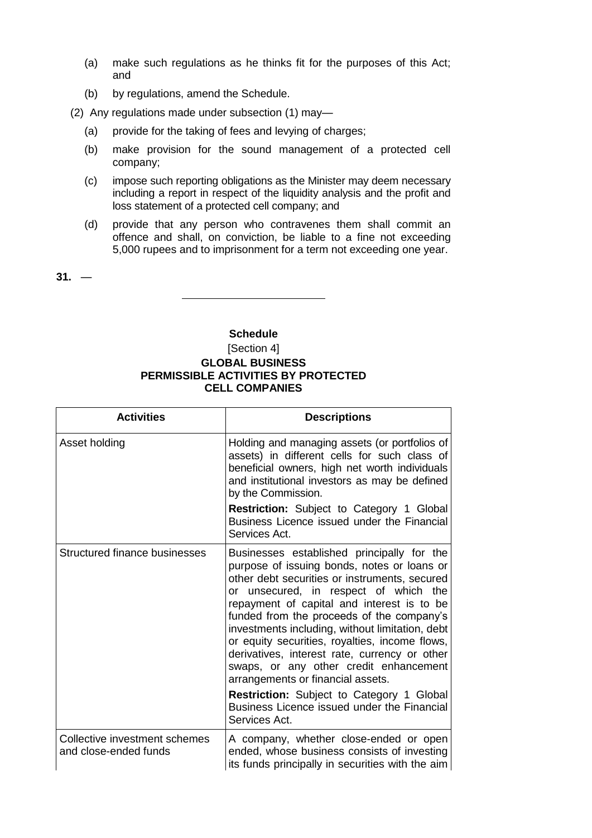- (a) make such regulations as he thinks fit for the purposes of this Act; and
- (b) by regulations, amend the Schedule.
- (2) Any regulations made under subsection (1) may—
	- (a) provide for the taking of fees and levying of charges;
	- (b) make provision for the sound management of a protected cell company;
	- (c) impose such reporting obligations as the Minister may deem necessary including a report in respect of the liquidity analysis and the profit and loss statement of a protected cell company; and
	- (d) provide that any person who contravenes them shall commit an offence and shall, on conviction, be liable to a fine not exceeding 5,000 rupees and to imprisonment for a term not exceeding one year.

 $31. -$ 

## **Schedule**

[Section 4]

# **GLOBAL BUSINESS PERMISSIBLE ACTIVITIES BY PROTECTED CELL COMPANIES**

| <b>Activities</b>                                      | <b>Descriptions</b>                                                                                                                                                                                                                                                                                                                                                                                                                                                                                                                                                                                                              |
|--------------------------------------------------------|----------------------------------------------------------------------------------------------------------------------------------------------------------------------------------------------------------------------------------------------------------------------------------------------------------------------------------------------------------------------------------------------------------------------------------------------------------------------------------------------------------------------------------------------------------------------------------------------------------------------------------|
| Asset holding                                          | Holding and managing assets (or portfolios of<br>assets) in different cells for such class of<br>beneficial owners, high net worth individuals<br>and institutional investors as may be defined<br>by the Commission.                                                                                                                                                                                                                                                                                                                                                                                                            |
|                                                        | <b>Restriction:</b> Subject to Category 1 Global<br>Business Licence issued under the Financial<br>Services Act.                                                                                                                                                                                                                                                                                                                                                                                                                                                                                                                 |
| Structured finance businesses                          | Businesses established principally for the<br>purpose of issuing bonds, notes or loans or<br>other debt securities or instruments, secured<br>or unsecured, in respect of which the<br>repayment of capital and interest is to be<br>funded from the proceeds of the company's<br>investments including, without limitation, debt<br>or equity securities, royalties, income flows,<br>derivatives, interest rate, currency or other<br>swaps, or any other credit enhancement<br>arrangements or financial assets.<br>Restriction: Subject to Category 1 Global<br>Business Licence issued under the Financial<br>Services Act. |
| Collective investment schemes<br>and close-ended funds | A company, whether close-ended or open<br>ended, whose business consists of investing<br>its funds principally in securities with the aim                                                                                                                                                                                                                                                                                                                                                                                                                                                                                        |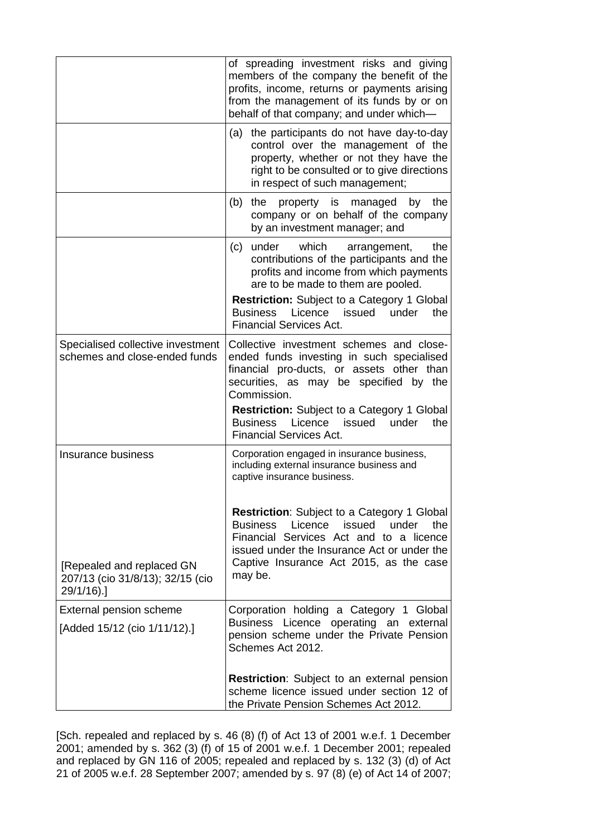|                                                                    | of spreading investment risks and giving<br>members of the company the benefit of the<br>profits, income, returns or payments arising<br>from the management of its funds by or on<br>behalf of that company; and under which-                                                                                                              |
|--------------------------------------------------------------------|---------------------------------------------------------------------------------------------------------------------------------------------------------------------------------------------------------------------------------------------------------------------------------------------------------------------------------------------|
|                                                                    | the participants do not have day-to-day<br>(a)<br>control over the management of the<br>property, whether or not they have the<br>right to be consulted or to give directions<br>in respect of such management;                                                                                                                             |
|                                                                    | (b)<br>the<br>property is<br>by<br>the<br>managed<br>company or on behalf of the company<br>by an investment manager; and                                                                                                                                                                                                                   |
|                                                                    | under<br>which<br>(c)<br>the<br>arrangement,<br>contributions of the participants and the<br>profits and income from which payments<br>are to be made to them are pooled.                                                                                                                                                                   |
|                                                                    | <b>Restriction:</b> Subject to a Category 1 Global<br>Licence<br>issued<br>under<br><b>Business</b><br>the<br><b>Financial Services Act.</b>                                                                                                                                                                                                |
| Specialised collective investment<br>schemes and close-ended funds | Collective investment schemes and close-<br>ended funds investing in such specialised<br>financial pro-ducts, or assets other than<br>securities, as may be specified by the<br>Commission.<br><b>Restriction:</b> Subject to a Category 1 Global<br>Licence<br>issued<br>the<br><b>Business</b><br>under<br><b>Financial Services Act.</b> |
| Insurance business                                                 | Corporation engaged in insurance business,<br>including external insurance business and<br>captive insurance business.                                                                                                                                                                                                                      |
| [Repealed and replaced GN<br>207/13 (cio 31/8/13); 32/15 (cio      | <b>Restriction:</b> Subject to a Category 1 Global<br>issued<br>the<br><b>Business</b><br>Licence<br>under<br>Financial Services Act and to a licence<br>issued under the Insurance Act or under the<br>Captive Insurance Act 2015, as the case<br>may be.                                                                                  |
| 29/1/16).                                                          |                                                                                                                                                                                                                                                                                                                                             |
| External pension scheme<br>[Added 15/12 (cio 1/11/12).]            | Corporation holding a Category 1 Global<br>Licence<br>operating an external<br><b>Business</b><br>pension scheme under the Private Pension<br>Schemes Act 2012.                                                                                                                                                                             |
|                                                                    | <b>Restriction:</b> Subject to an external pension<br>scheme licence issued under section 12 of<br>the Private Pension Schemes Act 2012.                                                                                                                                                                                                    |

[Sch. repealed and replaced by s. 46 (8) (f) of Act 13 of 2001 w.e.f. 1 December 2001; amended by s. 362 (3) (f) of 15 of 2001 w.e.f. 1 December 2001; repealed and replaced by GN 116 of 2005; repealed and replaced by s. 132 (3) (d) of Act 21 of 2005 w.e.f. 28 September 2007; amended by s. 97 (8) (e) of Act 14 of 2007;